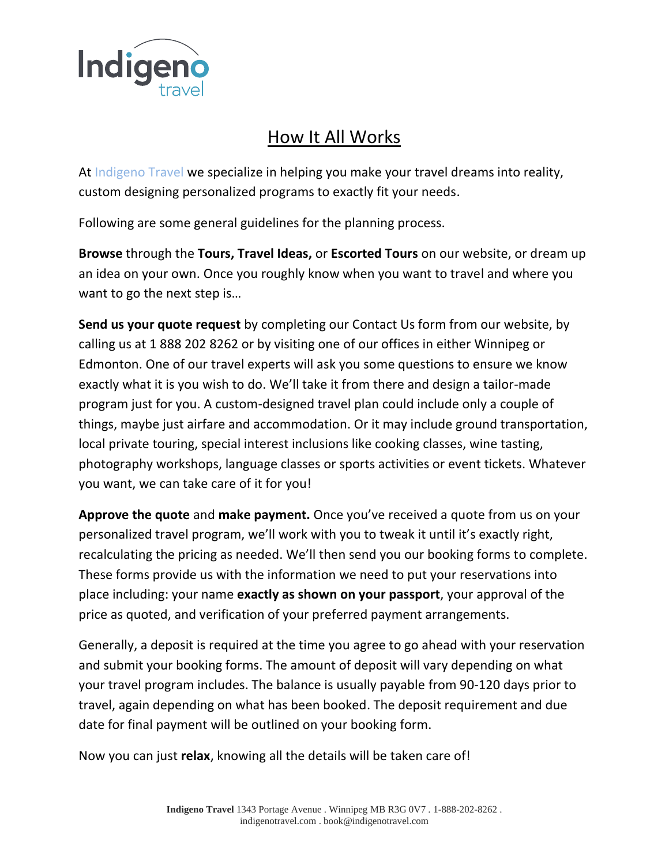

## How It All Works

At Indigeno Travel we specialize in helping you make your travel dreams into reality, custom designing personalized programs to exactly fit your needs.

Following are some general guidelines for the planning process.

**Browse** through the **Tours, Travel Ideas,** or **Escorted Tours** on our website, or dream up an idea on your own. Once you roughly know when you want to travel and where you want to go the next step is…

**Send us your quote request** by completing our Contact Us form from our website, by calling us at 1 888 202 8262 or by visiting one of our offices in either Winnipeg or Edmonton. One of our travel experts will ask you some questions to ensure we know exactly what it is you wish to do. We'll take it from there and design a tailor-made program just for you. A custom-designed travel plan could include only a couple of things, maybe just airfare and accommodation. Or it may include ground transportation, local private touring, special interest inclusions like cooking classes, wine tasting, photography workshops, language classes or sports activities or event tickets. Whatever you want, we can take care of it for you!

**Approve the quote** and **make payment.** Once you've received a quote from us on your personalized travel program, we'll work with you to tweak it until it's exactly right, recalculating the pricing as needed. We'll then send you our booking forms to complete. These forms provide us with the information we need to put your reservations into place including: your name **exactly as shown on your passport**, your approval of the price as quoted, and verification of your preferred payment arrangements.

Generally, a deposit is required at the time you agree to go ahead with your reservation and submit your booking forms. The amount of deposit will vary depending on what your travel program includes. The balance is usually payable from 90-120 days prior to travel, again depending on what has been booked. The deposit requirement and due date for final payment will be outlined on your booking form.

Now you can just **relax**, knowing all the details will be taken care of!